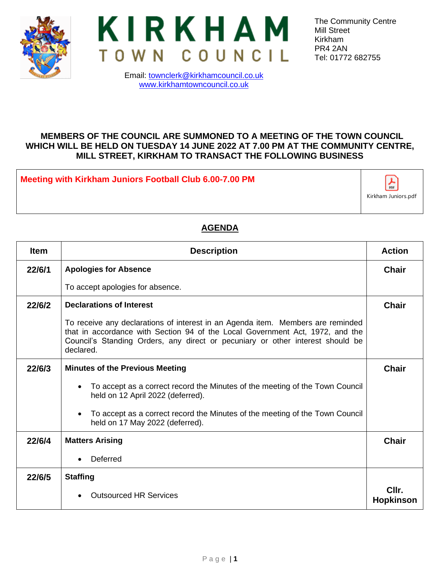



The Community Centre Mill Street Kirkham PR4 2AN Tel: 01772 682755

## Email: [townclerk@kirkhamcouncil.co.uk](mailto:townclerk@kirkhamcouncil.co.uk) [www.kirkhamtowncouncil.co.uk](http://www.kirkhamtowncouncil.co.uk/)

## **MEMBERS OF THE COUNCIL ARE SUMMONED TO A MEETING OF THE TOWN COUNCIL WHICH WILL BE HELD ON TUESDAY 14 JUNE 2022 AT 7.00 PM AT THE COMMUNITY CENTRE, MILL STREET, KIRKHAM TO TRANSACT THE FOLLOWING BUSINESS**

**Meeting with Kirkham Juniors Football Club 6.00-7.00 PM**



## **AGENDA**

| <b>Item</b> | <b>Description</b>                                                                                                                                                                                                                                              |                           |  |  |  |
|-------------|-----------------------------------------------------------------------------------------------------------------------------------------------------------------------------------------------------------------------------------------------------------------|---------------------------|--|--|--|
| 22/6/1      | <b>Apologies for Absence</b>                                                                                                                                                                                                                                    | <b>Chair</b>              |  |  |  |
|             | To accept apologies for absence.                                                                                                                                                                                                                                |                           |  |  |  |
| 22/6/2      | <b>Declarations of Interest</b>                                                                                                                                                                                                                                 |                           |  |  |  |
|             | To receive any declarations of interest in an Agenda item. Members are reminded<br>that in accordance with Section 94 of the Local Government Act, 1972, and the<br>Council's Standing Orders, any direct or pecuniary or other interest should be<br>declared. |                           |  |  |  |
| 22/6/3      | <b>Minutes of the Previous Meeting</b>                                                                                                                                                                                                                          | <b>Chair</b>              |  |  |  |
|             | To accept as a correct record the Minutes of the meeting of the Town Council<br>held on 12 April 2022 (deferred).                                                                                                                                               |                           |  |  |  |
|             | To accept as a correct record the Minutes of the meeting of the Town Council<br>held on 17 May 2022 (deferred).                                                                                                                                                 |                           |  |  |  |
| 22/6/4      | <b>Matters Arising</b>                                                                                                                                                                                                                                          | <b>Chair</b>              |  |  |  |
|             | Deferred                                                                                                                                                                                                                                                        |                           |  |  |  |
| 22/6/5      | <b>Staffing</b>                                                                                                                                                                                                                                                 |                           |  |  |  |
|             | <b>Outsourced HR Services</b>                                                                                                                                                                                                                                   | Cllr.<br><b>Hopkinson</b> |  |  |  |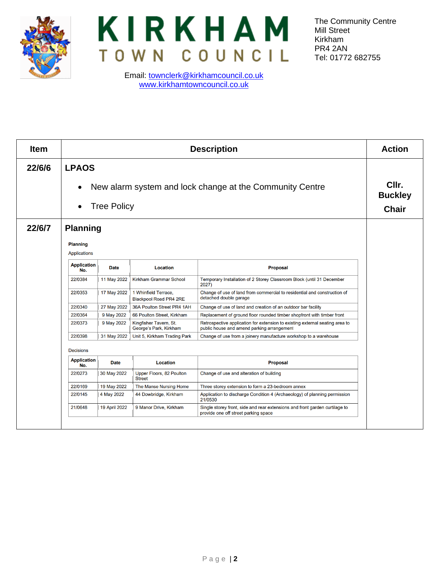



Email: [townclerk@kirkhamcouncil.co.uk](mailto:townclerk@kirkhamcouncil.co.uk) [www.kirkhamtowncouncil.co.uk](http://www.kirkhamtowncouncil.co.uk/)

The Community Centre Mill Street Kirkham PR4 2AN Tel: 01772 682755

| <b>Item</b> | <b>Description</b>                                       |                      |                                                       | <b>Action</b>                                                                                                              |  |
|-------------|----------------------------------------------------------|----------------------|-------------------------------------------------------|----------------------------------------------------------------------------------------------------------------------------|--|
| 22/6/6      | <b>LPAOS</b>                                             |                      |                                                       |                                                                                                                            |  |
|             | New alarm system and lock change at the Community Centre |                      |                                                       |                                                                                                                            |  |
|             | <b>Tree Policy</b>                                       |                      |                                                       |                                                                                                                            |  |
| 22/6/7      | <b>Planning</b>                                          |                      |                                                       |                                                                                                                            |  |
|             | <b>Planning</b><br>Applications                          |                      |                                                       |                                                                                                                            |  |
|             | <b>Application</b><br>No.                                | <b>Date</b>          | <b>Location</b>                                       | <b>Proposal</b>                                                                                                            |  |
|             | 22/0384                                                  | 11 May 2022          | Kirkham Grammar School                                | Temporary Installation of 2 Storey Classroom Block (until 31 December<br>2027)                                             |  |
|             | 22/0353                                                  | 17 May 2022          | 1 Whinfield Terrace,<br><b>Blackpool Road PR4 2RE</b> | Change of use of land from commercial to residential and construction of<br>detached double garage                         |  |
|             | 22/0340                                                  | 27 May 2022          | 36A Poulton Street PR4 1AH                            | Change of use of land and creation of an outdoor bar facility                                                              |  |
|             | 22/0364                                                  | 9 May 2022           | 66 Poulton Street, Kirkham                            | Replacement of ground floor rounded timber shopfront with timber front                                                     |  |
|             | 22/0373                                                  | 9 May 2022           | Kingfisher Tavern, St.<br>George's Park, Kirkham      | Retrospective application for extension to existing external seating area to<br>public house and amend parking arrangement |  |
|             | 22/0398                                                  | 31 May 2022          | Unit 5, Kirkham Trading Park                          | Change of use from a joinery manufacture workshop to a warehouse                                                           |  |
|             | <b>Decisions</b>                                         |                      |                                                       |                                                                                                                            |  |
|             | <b>Application</b><br>No.                                | <b>Date</b>          | <b>Location</b>                                       | <b>Proposal</b>                                                                                                            |  |
|             | 22/0273                                                  | 30 May 2022          | Upper Floors, 82 Poulton<br><b>Street</b>             | Change of use and alteration of building                                                                                   |  |
|             | 22/0169                                                  | 19 May 2022          | The Manse Nursing Home                                | Three storey extension to form a 23-bedroom annex                                                                          |  |
|             | 22/0145                                                  | 4 May 2022           | 44 Dowbridge, Kirkham                                 | Application to discharge Condition 4 (Archaeology) of planning permission<br>21/0530                                       |  |
|             | 21/0648                                                  | <b>19 April 2022</b> | 9 Manor Drive, Kirkham                                | Single storey front, side and rear extensions and front garden curtilage to<br>provide one off street parking space        |  |
|             |                                                          |                      |                                                       |                                                                                                                            |  |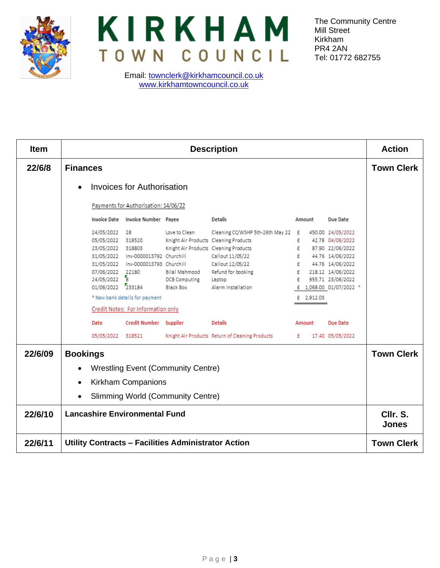



Email: [townclerk@kirkhamcouncil.co.uk](mailto:townclerk@kirkhamcouncil.co.uk) [www.kirkhamtowncouncil.co.uk](http://www.kirkhamtowncouncil.co.uk/)

The Community Centre Mill Street Kirkham PR4 2AN Tel: 01772 682755

| <b>Item</b> | <b>Description</b>                                                                                                                                                                                                                                                                                                                                                                                                                                                                                                                                                                                                                                                                                                                                                                                                                                           | <b>Action</b>     |  |  |  |  |
|-------------|--------------------------------------------------------------------------------------------------------------------------------------------------------------------------------------------------------------------------------------------------------------------------------------------------------------------------------------------------------------------------------------------------------------------------------------------------------------------------------------------------------------------------------------------------------------------------------------------------------------------------------------------------------------------------------------------------------------------------------------------------------------------------------------------------------------------------------------------------------------|-------------------|--|--|--|--|
| 22/6/8      | <b>Finances</b>                                                                                                                                                                                                                                                                                                                                                                                                                                                                                                                                                                                                                                                                                                                                                                                                                                              | <b>Town Clerk</b> |  |  |  |  |
|             | <b>Invoices for Authorisation</b>                                                                                                                                                                                                                                                                                                                                                                                                                                                                                                                                                                                                                                                                                                                                                                                                                            |                   |  |  |  |  |
|             | Payments for Authorisation: 14/06/22                                                                                                                                                                                                                                                                                                                                                                                                                                                                                                                                                                                                                                                                                                                                                                                                                         |                   |  |  |  |  |
|             | <b>Details</b><br>Invoice Date Invoice Number Payee<br>Due Date<br>Amount                                                                                                                                                                                                                                                                                                                                                                                                                                                                                                                                                                                                                                                                                                                                                                                    |                   |  |  |  |  |
|             | Cleaning CC/WSHP 5th-26th May 22 £<br>24/05/2022 28<br>Love to Clean<br>450.00 24/05/2022<br>05/05/2022 318520<br>Knight Air Products Cleaning Products<br>£<br>42.78 04/06/2022<br>Knight Air Products Cleaning Products<br>£<br>87.90 22/06/2022<br>23/05/2022 318803<br>31/05/2022 Inv-0000013792 Churchill<br>£<br>Callout 11/05/22<br>44.76 14/06/2022<br>31/05/2022 Inv-0000013793 Churchill<br>Callout 12/05/22<br>f<br>44.76 14/06/2022<br>Refund for booking<br>f<br>07/06/2022 22180<br>Bilal Mahmood<br>218.12 14/06/2022<br>24/05/2022 8<br>£<br>955.71 23/06/2022<br>DCB Computing<br>Laptop<br>01/06/2022 233184<br>Black Box<br>Alarm Installation<br>£ 1,068.00 01/07/2022 *<br>* New bank details for payment<br>£ 2,912.03<br>Credit Notes: For Information only<br>Credit Number Supplier<br><b>Details</b><br>Date<br>Due Date<br>Amount |                   |  |  |  |  |
|             | Knight Air Products Return of Cleaning Products<br>£<br>17.40 05/05/2022<br>05/05/2022 318521                                                                                                                                                                                                                                                                                                                                                                                                                                                                                                                                                                                                                                                                                                                                                                |                   |  |  |  |  |
| 22/6/09     | <b>Bookings</b><br><b>Wrestling Event (Community Centre)</b><br>$\bullet$                                                                                                                                                                                                                                                                                                                                                                                                                                                                                                                                                                                                                                                                                                                                                                                    |                   |  |  |  |  |
|             | <b>Kirkham Companions</b><br>$\bullet$                                                                                                                                                                                                                                                                                                                                                                                                                                                                                                                                                                                                                                                                                                                                                                                                                       |                   |  |  |  |  |
|             | <b>Slimming World (Community Centre)</b><br>$\bullet$                                                                                                                                                                                                                                                                                                                                                                                                                                                                                                                                                                                                                                                                                                                                                                                                        |                   |  |  |  |  |
| 22/6/10     | <b>Lancashire Environmental Fund</b>                                                                                                                                                                                                                                                                                                                                                                                                                                                                                                                                                                                                                                                                                                                                                                                                                         |                   |  |  |  |  |
| 22/6/11     | Utility Contracts - Facilities Administrator Action                                                                                                                                                                                                                                                                                                                                                                                                                                                                                                                                                                                                                                                                                                                                                                                                          |                   |  |  |  |  |